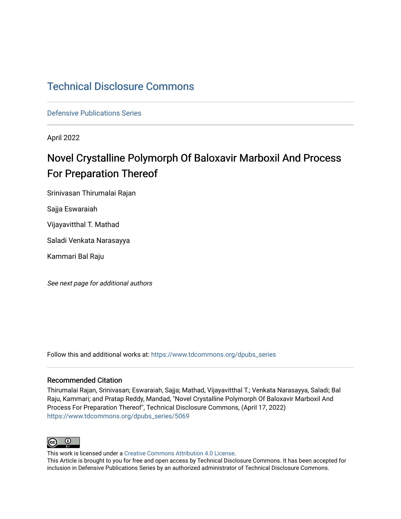# [Technical Disclosure Commons](https://www.tdcommons.org/)

[Defensive Publications Series](https://www.tdcommons.org/dpubs_series)

April 2022

# Novel Crystalline Polymorph Of Baloxavir Marboxil And Process For Preparation Thereof

Srinivasan Thirumalai Rajan

Sajja Eswaraiah

Vijayavitthal T. Mathad

Saladi Venkata Narasayya

Kammari Bal Raju

See next page for additional authors

Follow this and additional works at: [https://www.tdcommons.org/dpubs\\_series](https://www.tdcommons.org/dpubs_series?utm_source=www.tdcommons.org%2Fdpubs_series%2F5069&utm_medium=PDF&utm_campaign=PDFCoverPages) 

#### Recommended Citation

Thirumalai Rajan, Srinivasan; Eswaraiah, Sajja; Mathad, Vijayavitthal T.; Venkata Narasayya, Saladi; Bal Raju, Kammari; and Pratap Reddy, Mandad, "Novel Crystalline Polymorph Of Baloxavir Marboxil And Process For Preparation Thereof", Technical Disclosure Commons, (April 17, 2022) [https://www.tdcommons.org/dpubs\\_series/5069](https://www.tdcommons.org/dpubs_series/5069?utm_source=www.tdcommons.org%2Fdpubs_series%2F5069&utm_medium=PDF&utm_campaign=PDFCoverPages)



This work is licensed under a [Creative Commons Attribution 4.0 License](http://creativecommons.org/licenses/by/4.0/deed.en_US).

This Article is brought to you for free and open access by Technical Disclosure Commons. It has been accepted for inclusion in Defensive Publications Series by an authorized administrator of Technical Disclosure Commons.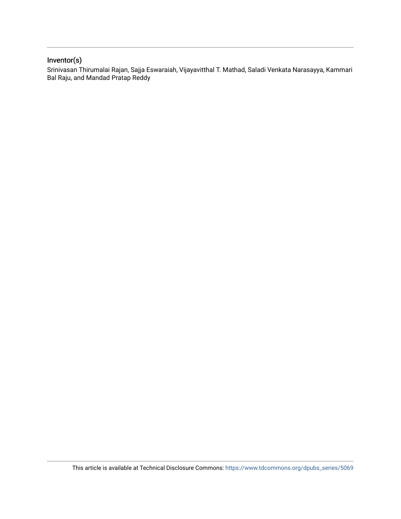## Inventor(s)

Srinivasan Thirumalai Rajan, Sajja Eswaraiah, Vijayavitthal T. Mathad, Saladi Venkata Narasayya, Kammari Bal Raju, and Mandad Pratap Reddy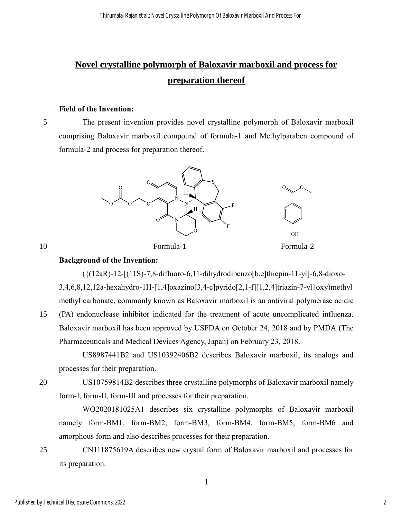# **Novel crystalline polymorph of Baloxavir marboxil and process for preparation thereof**

#### **Field of the Invention:**

5 The present invention provides novel crystalline polymorph of Baloxavir marboxil comprising Baloxavir marboxil compound of formula-1 and Methylparaben compound of formula-2 and process for preparation thereof.



#### **Background of the Invention:**

 $({(12aR)-12-[(11S)-7,8-difluoro-6,11-dihydrodibenzo[b,e]thiepin-11-y1]-6,8-dioxo-$ 

3,4,6,8,12,12a-hexahydro-1H-[1,4]oxazino[3,4-c]pyrido[2,1-f][1,2,4]triazin-7-yl}oxy)methyl methyl carbonate, commonly known as Baloxavir marboxil is an antiviral polymerase acidic

15 (PA) endonuclease inhibitor indicated for the treatment of acute uncomplicated influenza. Baloxavir marboxil has been approved by USFDA on October 24, 2018 and by PMDA (The Pharmaceuticals and Medical Devices Agency, Japan) on February 23, 2018.

US8987441B2 and US10392406B2 describes Baloxavir marboxil, its analogs and processes for their preparation.

20 US10759814B2 describes three crystalline polymorphs of Baloxavir marboxil namely form-I, form-II, form-III and processes for their preparation.

WO2020181025A1 describes six crystalline polymorphs of Baloxavir marboxil namely form-BM1, form-BM2, form-BM3, form-BM4, form-BM5, form-BM6 and amorphous form and also describes processes for their preparation.

25 CN111875619A describes new crystal form of Baloxavir marboxil and processes for its preparation.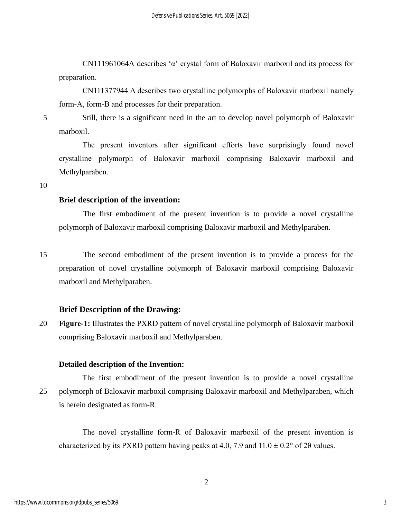CN111961064A describes 'α' crystal form of Baloxavir marboxil and its process for preparation.

CN111377944 A describes two crystalline polymorphs of Baloxavir marboxil namely form-A, form-B and processes for their preparation.

5 Still, there is a significant need in the art to develop novel polymorph of Baloxavir marboxil.

The present inventors after significant efforts have surprisingly found novel crystalline polymorph of Baloxavir marboxil comprising Baloxavir marboxil and Methylparaben.

10

### **Brief description of the invention:**

 The first embodiment of the present invention is to provide a novel crystalline polymorph of Baloxavir marboxil comprising Baloxavir marboxil and Methylparaben.

15 The second embodiment of the present invention is to provide a process for the preparation of novel crystalline polymorph of Baloxavir marboxil comprising Baloxavir marboxil and Methylparaben.

## **Brief Description of the Drawing:**

20 **Figure-1:** Illustrates the PXRD pattern of novel crystalline polymorph of Baloxavir marboxil comprising Baloxavir marboxil and Methylparaben.

## **Detailed description of the Invention:**

 The first embodiment of the present invention is to provide a novel crystalline 25 polymorph of Baloxavir marboxil comprising Baloxavir marboxil and Methylparaben, which is herein designated as form-R.

The novel crystalline form-R of Baloxavir marboxil of the present invention is characterized by its PXRD pattern having peaks at 4.0, 7.9 and  $11.0 \pm 0.2^{\circ}$  of 20 values.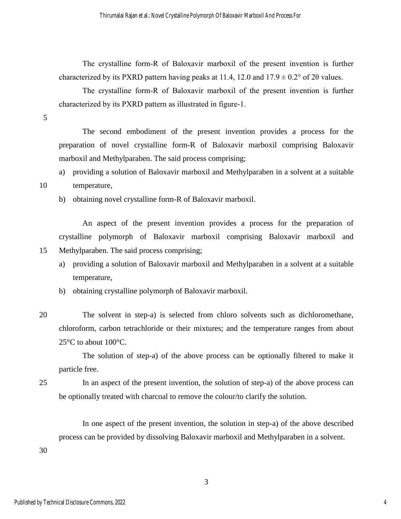The crystalline form-R of Baloxavir marboxil of the present invention is further characterized by its PXRD pattern having peaks at 11.4, 12.0 and  $17.9 \pm 0.2^{\circ}$  of 2 $\theta$  values.

The crystalline form-R of Baloxavir marboxil of the present invention is further characterized by its PXRD pattern as illustrated in figure-1.

5

The second embodiment of the present invention provides a process for the preparation of novel crystalline form-R of Baloxavir marboxil comprising Baloxavir marboxil and Methylparaben. The said process comprising;

a) providing a solution of Baloxavir marboxil and Methylparaben in a solvent at a suitable

### 10 temperature,

b) obtaining novel crystalline form-R of Baloxavir marboxil.

An aspect of the present invention provides a process for the preparation of crystalline polymorph of Baloxavir marboxil comprising Baloxavir marboxil and 15 Methylparaben. The said process comprising;

- a) providing a solution of Baloxavir marboxil and Methylparaben in a solvent at a suitable temperature,
- b) obtaining crystalline polymorph of Baloxavir marboxil.
- 20 The solvent in step-a) is selected from chloro solvents such as dichloromethane, chloroform, carbon tetrachloride or their mixtures; and the temperature ranges from about 25°C to about 100°C.

The solution of step-a) of the above process can be optionally filtered to make it particle free.

25 In an aspect of the present invention, the solution of step-a) of the above process can be optionally treated with charcoal to remove the colour/to clarify the solution.

 In one aspect of the present invention, the solution in step-a) of the above described process can be provided by dissolving Baloxavir marboxil and Methylparaben in a solvent.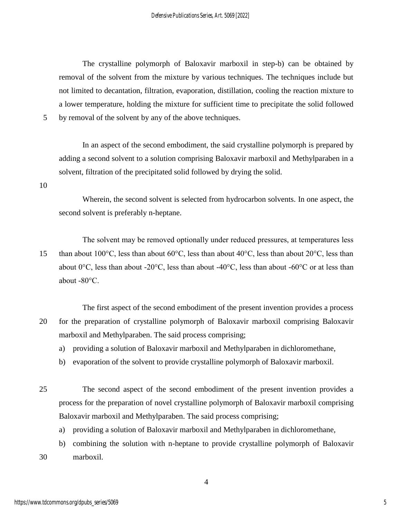The crystalline polymorph of Baloxavir marboxil in step-b) can be obtained by removal of the solvent from the mixture by various techniques. The techniques include but not limited to decantation, filtration, evaporation, distillation, cooling the reaction mixture to a lower temperature, holding the mixture for sufficient time to precipitate the solid followed

5 by removal of the solvent by any of the above techniques.

In an aspect of the second embodiment, the said crystalline polymorph is prepared by adding a second solvent to a solution comprising Baloxavir marboxil and Methylparaben in a solvent, filtration of the precipitated solid followed by drying the solid.

10

Wherein, the second solvent is selected from hydrocarbon solvents. In one aspect, the second solvent is preferably n-heptane.

The solvent may be removed optionally under reduced pressures, at temperatures less 15 than about 100°C, less than about 60°C, less than about 40°C, less than about 20°C, less than about  $0^{\circ}$ C, less than about -20 $^{\circ}$ C, less than about -40 $^{\circ}$ C, less than about -60 $^{\circ}$ C or at less than about -80°C.

The first aspect of the second embodiment of the present invention provides a process 20 for the preparation of crystalline polymorph of Baloxavir marboxil comprising Baloxavir marboxil and Methylparaben. The said process comprising;

- a) providing a solution of Baloxavir marboxil and Methylparaben in dichloromethane,
- b) evaporation of the solvent to provide crystalline polymorph of Baloxavir marboxil.

25 The second aspect of the second embodiment of the present invention provides a process for the preparation of novel crystalline polymorph of Baloxavir marboxil comprising Baloxavir marboxil and Methylparaben. The said process comprising;

- a) providing a solution of Baloxavir marboxil and Methylparaben in dichloromethane,
- b) combining the solution with n-heptane to provide crystalline polymorph of Baloxavir 30 marboxil.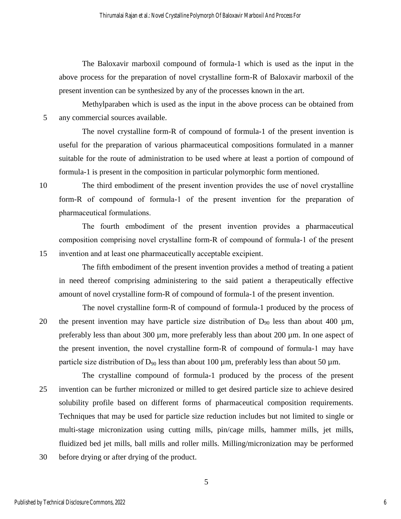The Baloxavir marboxil compound of formula-1 which is used as the input in the above process for the preparation of novel crystalline form-R of Baloxavir marboxil of the present invention can be synthesized by any of the processes known in the art.

Methylparaben which is used as the input in the above process can be obtained from 5 any commercial sources available.

The novel crystalline form-R of compound of formula-1 of the present invention is useful for the preparation of various pharmaceutical compositions formulated in a manner suitable for the route of administration to be used where at least a portion of compound of formula-1 is present in the composition in particular polymorphic form mentioned.

10 The third embodiment of the present invention provides the use of novel crystalline form-R of compound of formula-1 of the present invention for the preparation of pharmaceutical formulations.

The fourth embodiment of the present invention provides a pharmaceutical composition comprising novel crystalline form-R of compound of formula-1 of the present 15 invention and at least one pharmaceutically acceptable excipient.

The fifth embodiment of the present invention provides a method of treating a patient in need thereof comprising administering to the said patient a therapeutically effective amount of novel crystalline form-R of compound of formula-1 of the present invention.

The novel crystalline form-R of compound of formula-1 produced by the process of 20 the present invention may have particle size distribution of  $D_{90}$  less than about 400 µm, preferably less than about 300 µm, more preferably less than about 200 µm. In one aspect of the present invention, the novel crystalline form-R of compound of formula-1 may have particle size distribution of  $D_{90}$  less than about 100  $\mu$ m, preferably less than about 50  $\mu$ m.

The crystalline compound of formula-1 produced by the process of the present 25 invention can be further micronized or milled to get desired particle size to achieve desired solubility profile based on different forms of pharmaceutical composition requirements. Techniques that may be used for particle size reduction includes but not limited to single or multi-stage micronization using cutting mills, pin/cage mills, hammer mills, jet mills, fluidized bed jet mills, ball mills and roller mills. Milling/micronization may be performed

30 before drying or after drying of the product.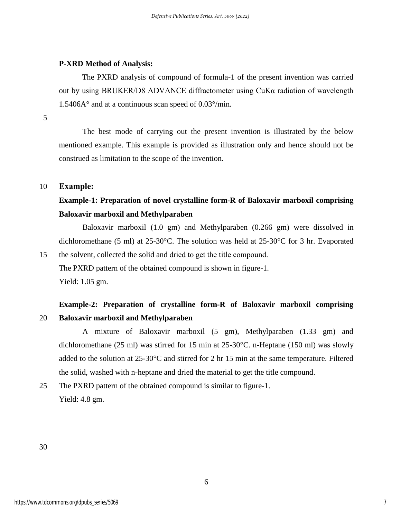#### **P-XRD Method of Analysis:**

The PXRD analysis of compound of formula-1 of the present invention was carried out by using BRUKER/D8 ADVANCE diffractometer using CuKα radiation of wavelength 1.5406A° and at a continuous scan speed of 0.03°/min.

5

The best mode of carrying out the present invention is illustrated by the below mentioned example. This example is provided as illustration only and hence should not be construed as limitation to the scope of the invention.

#### 10 **Example:**

## **Example-1: Preparation of novel crystalline form-R of Baloxavir marboxil comprising Baloxavir marboxil and Methylparaben**

Baloxavir marboxil (1.0 gm) and Methylparaben (0.266 gm) were dissolved in dichloromethane (5 ml) at 25-30°C. The solution was held at 25-30°C for 3 hr. Evaporated

15 the solvent, collected the solid and dried to get the title compound. The PXRD pattern of the obtained compound is shown in figure-1. Yield: 1.05 gm.

## **Example-2: Preparation of crystalline form-R of Baloxavir marboxil comprising**  20 **Baloxavir marboxil and Methylparaben**

A mixture of Baloxavir marboxil (5 gm), Methylparaben (1.33 gm) and dichloromethane (25 ml) was stirred for 15 min at 25-30°C. n-Heptane (150 ml) was slowly added to the solution at 25-30°C and stirred for 2 hr 15 min at the same temperature. Filtered the solid, washed with n-heptane and dried the material to get the title compound.

25 The PXRD pattern of the obtained compound is similar to figure-1. Yield: 4.8 gm.